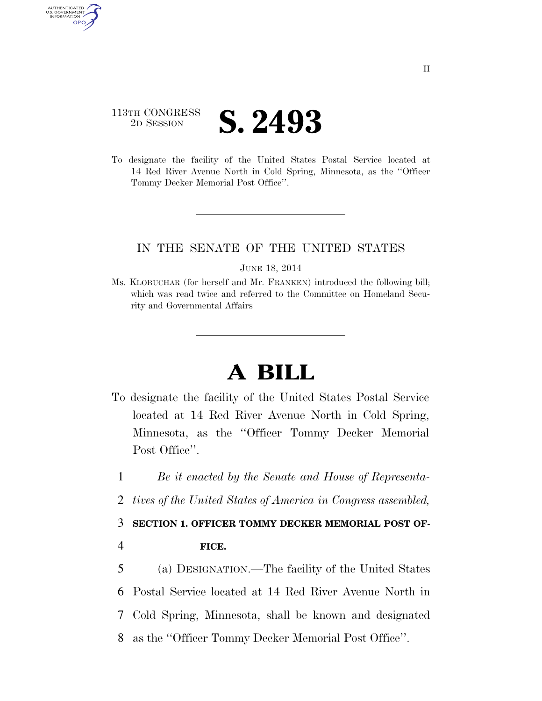## 113TH CONGRESS 2D SESSION **S. 2493**

AUTHENTICATED U.S. GOVERNMENT GPO

> To designate the facility of the United States Postal Service located at 14 Red River Avenue North in Cold Spring, Minnesota, as the ''Officer Tommy Decker Memorial Post Office''.

## IN THE SENATE OF THE UNITED STATES

JUNE 18, 2014

Ms. KLOBUCHAR (for herself and Mr. FRANKEN) introduced the following bill; which was read twice and referred to the Committee on Homeland Security and Governmental Affairs

## **A BILL**

- To designate the facility of the United States Postal Service located at 14 Red River Avenue North in Cold Spring, Minnesota, as the ''Officer Tommy Decker Memorial Post Office".
	- 1 *Be it enacted by the Senate and House of Representa-*
	- 2 *tives of the United States of America in Congress assembled,*

3 **SECTION 1. OFFICER TOMMY DECKER MEMORIAL POST OF-**

4 **FICE.** 

 (a) DESIGNATION.—The facility of the United States Postal Service located at 14 Red River Avenue North in Cold Spring, Minnesota, shall be known and designated as the ''Officer Tommy Decker Memorial Post Office''.